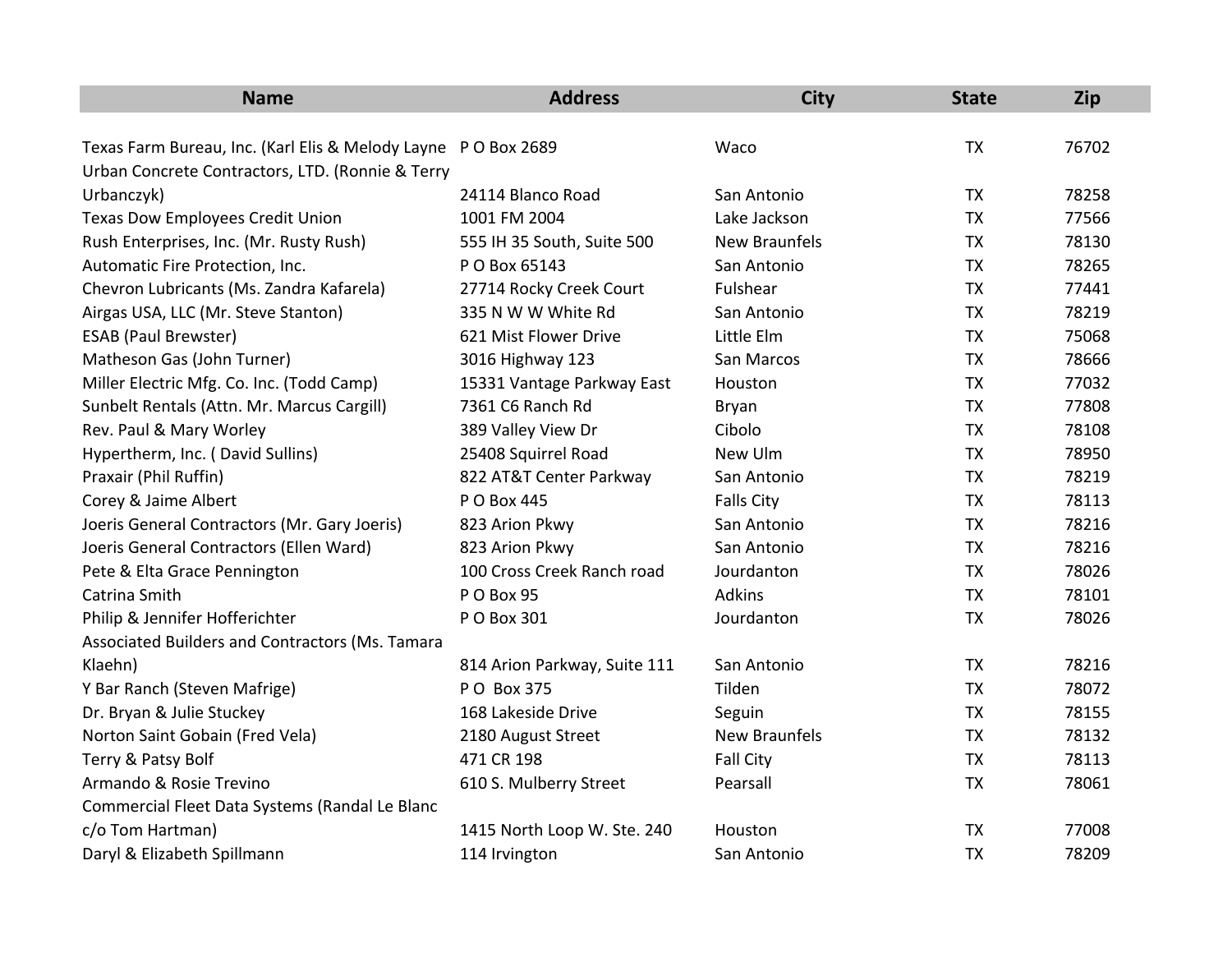| <b>Name</b>                                                   | <b>Address</b>               | <b>City</b>          | <b>State</b> | <b>Zip</b> |
|---------------------------------------------------------------|------------------------------|----------------------|--------------|------------|
|                                                               |                              |                      |              |            |
| Texas Farm Bureau, Inc. (Karl Elis & Melody Layne PO Box 2689 |                              | Waco                 | <b>TX</b>    | 76702      |
| Urban Concrete Contractors, LTD. (Ronnie & Terry              |                              |                      |              |            |
| Urbanczyk)                                                    | 24114 Blanco Road            | San Antonio          | <b>TX</b>    | 78258      |
| <b>Texas Dow Employees Credit Union</b>                       | 1001 FM 2004                 | Lake Jackson         | <b>TX</b>    | 77566      |
| Rush Enterprises, Inc. (Mr. Rusty Rush)                       | 555 IH 35 South, Suite 500   | <b>New Braunfels</b> | <b>TX</b>    | 78130      |
| Automatic Fire Protection, Inc.                               | P O Box 65143                | San Antonio          | <b>TX</b>    | 78265      |
| Chevron Lubricants (Ms. Zandra Kafarela)                      | 27714 Rocky Creek Court      | Fulshear             | <b>TX</b>    | 77441      |
| Airgas USA, LLC (Mr. Steve Stanton)                           | 335 N W W White Rd           | San Antonio          | <b>TX</b>    | 78219      |
| <b>ESAB (Paul Brewster)</b>                                   | 621 Mist Flower Drive        | Little Elm           | <b>TX</b>    | 75068      |
| Matheson Gas (John Turner)                                    | 3016 Highway 123             | San Marcos           | <b>TX</b>    | 78666      |
| Miller Electric Mfg. Co. Inc. (Todd Camp)                     | 15331 Vantage Parkway East   | Houston              | <b>TX</b>    | 77032      |
| Sunbelt Rentals (Attn. Mr. Marcus Cargill)                    | 7361 C6 Ranch Rd             | Bryan                | <b>TX</b>    | 77808      |
| Rev. Paul & Mary Worley                                       | 389 Valley View Dr           | Cibolo               | <b>TX</b>    | 78108      |
| Hypertherm, Inc. (David Sullins)                              | 25408 Squirrel Road          | New Ulm              | <b>TX</b>    | 78950      |
| Praxair (Phil Ruffin)                                         | 822 AT&T Center Parkway      | San Antonio          | <b>TX</b>    | 78219      |
| Corey & Jaime Albert                                          | P O Box 445                  | <b>Falls City</b>    | <b>TX</b>    | 78113      |
| Joeris General Contractors (Mr. Gary Joeris)                  | 823 Arion Pkwy               | San Antonio          | <b>TX</b>    | 78216      |
| Joeris General Contractors (Ellen Ward)                       | 823 Arion Pkwy               | San Antonio          | <b>TX</b>    | 78216      |
| Pete & Elta Grace Pennington                                  | 100 Cross Creek Ranch road   | Jourdanton           | <b>TX</b>    | 78026      |
| Catrina Smith                                                 | PO Box 95                    | <b>Adkins</b>        | <b>TX</b>    | 78101      |
| Philip & Jennifer Hofferichter                                | P O Box 301                  | Jourdanton           | <b>TX</b>    | 78026      |
| Associated Builders and Contractors (Ms. Tamara               |                              |                      |              |            |
| Klaehn)                                                       | 814 Arion Parkway, Suite 111 | San Antonio          | <b>TX</b>    | 78216      |
| Y Bar Ranch (Steven Mafrige)                                  | P O Box 375                  | Tilden               | <b>TX</b>    | 78072      |
| Dr. Bryan & Julie Stuckey                                     | 168 Lakeside Drive           | Seguin               | <b>TX</b>    | 78155      |
| Norton Saint Gobain (Fred Vela)                               | 2180 August Street           | <b>New Braunfels</b> | <b>TX</b>    | 78132      |
| Terry & Patsy Bolf                                            | 471 CR 198                   | <b>Fall City</b>     | <b>TX</b>    | 78113      |
| Armando & Rosie Trevino                                       | 610 S. Mulberry Street       | Pearsall             | <b>TX</b>    | 78061      |
| Commercial Fleet Data Systems (Randal Le Blanc                |                              |                      |              |            |
| c/o Tom Hartman)                                              | 1415 North Loop W. Ste. 240  | Houston              | <b>TX</b>    | 77008      |
| Daryl & Elizabeth Spillmann                                   | 114 Irvington                | San Antonio          | <b>TX</b>    | 78209      |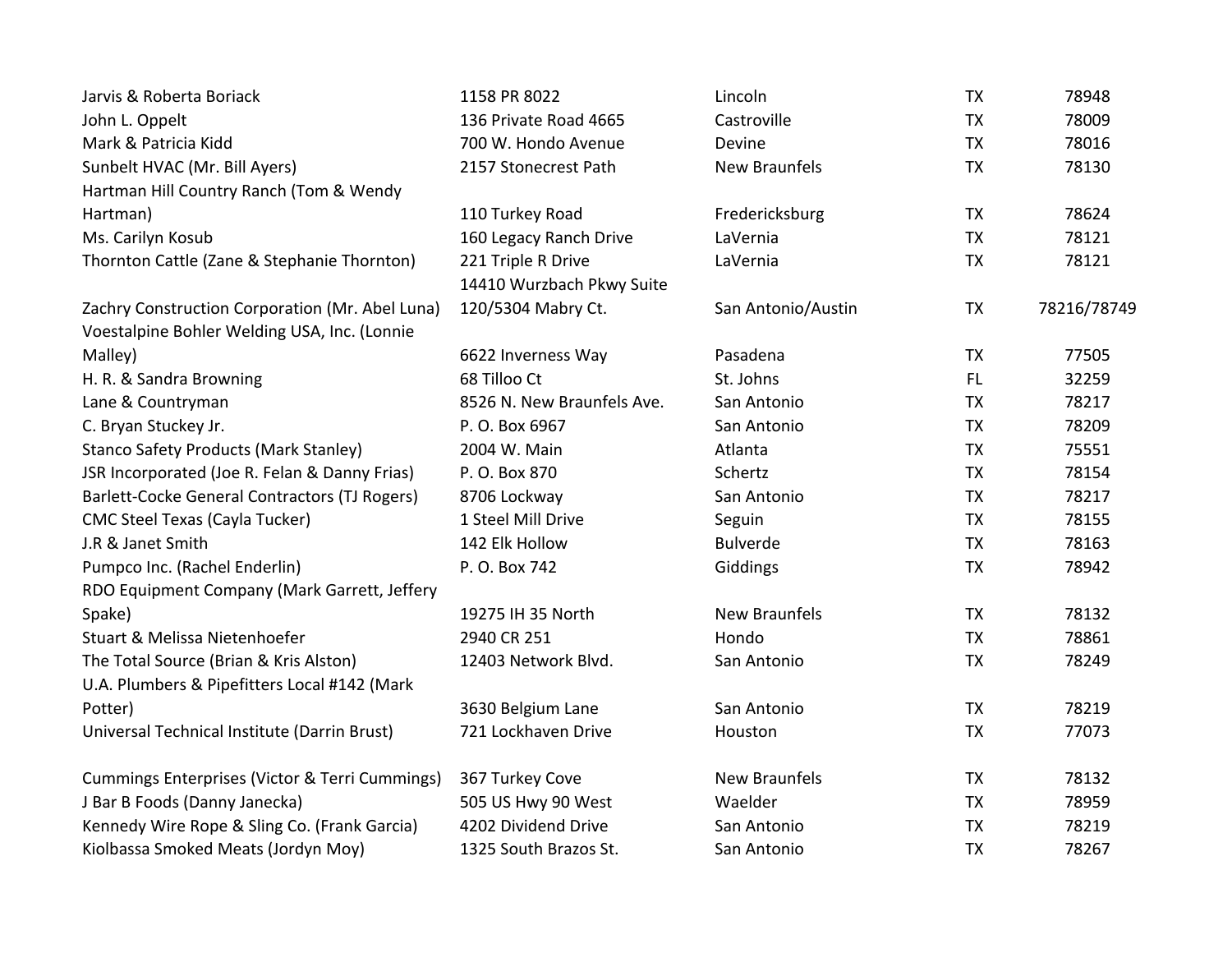| Jarvis & Roberta Boriack                                  | 1158 PR 8022               | Lincoln              | <b>TX</b> | 78948       |
|-----------------------------------------------------------|----------------------------|----------------------|-----------|-------------|
| John L. Oppelt                                            | 136 Private Road 4665      | Castroville          | <b>TX</b> | 78009       |
| Mark & Patricia Kidd                                      | 700 W. Hondo Avenue        | Devine               | <b>TX</b> | 78016       |
| Sunbelt HVAC (Mr. Bill Ayers)                             | 2157 Stonecrest Path       | <b>New Braunfels</b> | <b>TX</b> | 78130       |
| Hartman Hill Country Ranch (Tom & Wendy                   |                            |                      |           |             |
| Hartman)                                                  | 110 Turkey Road            | Fredericksburg       | <b>TX</b> | 78624       |
| Ms. Carilyn Kosub                                         | 160 Legacy Ranch Drive     | LaVernia             | <b>TX</b> | 78121       |
| Thornton Cattle (Zane & Stephanie Thornton)               | 221 Triple R Drive         | LaVernia             | <b>TX</b> | 78121       |
|                                                           | 14410 Wurzbach Pkwy Suite  |                      |           |             |
| Zachry Construction Corporation (Mr. Abel Luna)           | 120/5304 Mabry Ct.         | San Antonio/Austin   | <b>TX</b> | 78216/78749 |
| Voestalpine Bohler Welding USA, Inc. (Lonnie              |                            |                      |           |             |
| Malley)                                                   | 6622 Inverness Way         | Pasadena             | <b>TX</b> | 77505       |
| H. R. & Sandra Browning                                   | 68 Tilloo Ct               | St. Johns            | <b>FL</b> | 32259       |
| Lane & Countryman                                         | 8526 N. New Braunfels Ave. | San Antonio          | <b>TX</b> | 78217       |
| C. Bryan Stuckey Jr.                                      | P.O. Box 6967              | San Antonio          | <b>TX</b> | 78209       |
| <b>Stanco Safety Products (Mark Stanley)</b>              | 2004 W. Main               | Atlanta              | <b>TX</b> | 75551       |
| JSR Incorporated (Joe R. Felan & Danny Frias)             | P. O. Box 870              | Schertz              | <b>TX</b> | 78154       |
| Barlett-Cocke General Contractors (TJ Rogers)             | 8706 Lockway               | San Antonio          | <b>TX</b> | 78217       |
| <b>CMC Steel Texas (Cayla Tucker)</b>                     | 1 Steel Mill Drive         | Seguin               | <b>TX</b> | 78155       |
| J.R & Janet Smith                                         | 142 Elk Hollow             | <b>Bulverde</b>      | <b>TX</b> | 78163       |
| Pumpco Inc. (Rachel Enderlin)                             | P. O. Box 742              | Giddings             | <b>TX</b> | 78942       |
| RDO Equipment Company (Mark Garrett, Jeffery              |                            |                      |           |             |
| Spake)                                                    | 19275 IH 35 North          | <b>New Braunfels</b> | <b>TX</b> | 78132       |
| Stuart & Melissa Nietenhoefer                             | 2940 CR 251                | Hondo                | <b>TX</b> | 78861       |
| The Total Source (Brian & Kris Alston)                    | 12403 Network Blvd.        | San Antonio          | <b>TX</b> | 78249       |
| U.A. Plumbers & Pipefitters Local #142 (Mark              |                            |                      |           |             |
| Potter)                                                   | 3630 Belgium Lane          | San Antonio          | <b>TX</b> | 78219       |
| Universal Technical Institute (Darrin Brust)              | 721 Lockhaven Drive        | Houston              | <b>TX</b> | 77073       |
| <b>Cummings Enterprises (Victor &amp; Terri Cummings)</b> | 367 Turkey Cove            | <b>New Braunfels</b> | <b>TX</b> | 78132       |
| J Bar B Foods (Danny Janecka)                             | 505 US Hwy 90 West         | Waelder              | <b>TX</b> | 78959       |
| Kennedy Wire Rope & Sling Co. (Frank Garcia)              | 4202 Dividend Drive        | San Antonio          | <b>TX</b> | 78219       |
| Kiolbassa Smoked Meats (Jordyn Moy)                       | 1325 South Brazos St.      | San Antonio          | <b>TX</b> | 78267       |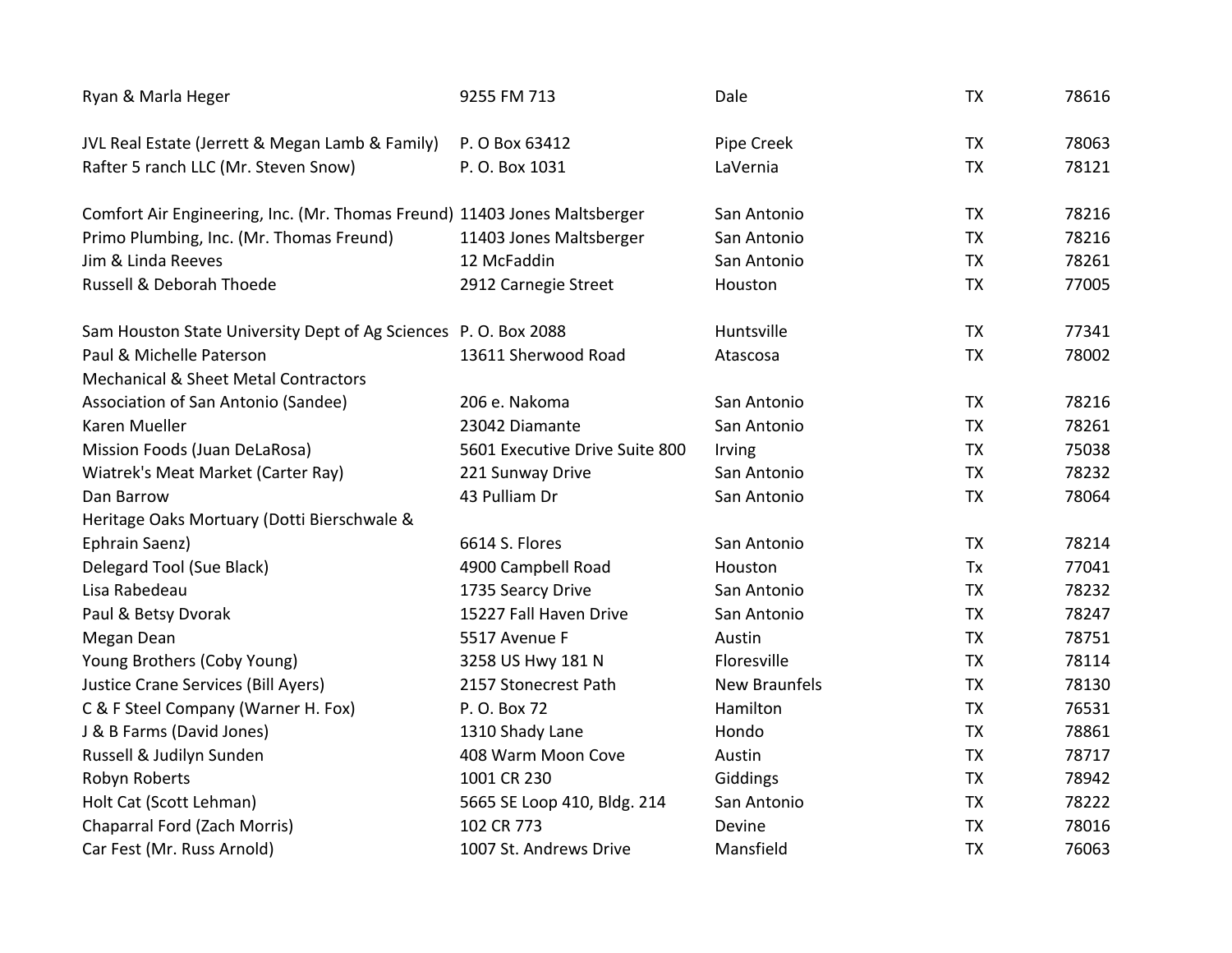| Ryan & Marla Heger                                                        | 9255 FM 713                    | Dale                 | <b>TX</b> | 78616 |
|---------------------------------------------------------------------------|--------------------------------|----------------------|-----------|-------|
| JVL Real Estate (Jerrett & Megan Lamb & Family)                           | P. O Box 63412                 | Pipe Creek           | <b>TX</b> | 78063 |
| Rafter 5 ranch LLC (Mr. Steven Snow)                                      | P.O. Box 1031                  | LaVernia             | <b>TX</b> | 78121 |
| Comfort Air Engineering, Inc. (Mr. Thomas Freund) 11403 Jones Maltsberger |                                | San Antonio          | <b>TX</b> | 78216 |
| Primo Plumbing, Inc. (Mr. Thomas Freund)                                  | 11403 Jones Maltsberger        | San Antonio          | <b>TX</b> | 78216 |
| Jim & Linda Reeves                                                        | 12 McFaddin                    | San Antonio          | <b>TX</b> | 78261 |
| Russell & Deborah Thoede                                                  | 2912 Carnegie Street           | Houston              | <b>TX</b> | 77005 |
| Sam Houston State University Dept of Ag Sciences P.O. Box 2088            |                                | Huntsville           | <b>TX</b> | 77341 |
| Paul & Michelle Paterson                                                  | 13611 Sherwood Road            | Atascosa             | <b>TX</b> | 78002 |
| <b>Mechanical &amp; Sheet Metal Contractors</b>                           |                                |                      |           |       |
| Association of San Antonio (Sandee)                                       | 206 e. Nakoma                  | San Antonio          | <b>TX</b> | 78216 |
| Karen Mueller                                                             | 23042 Diamante                 | San Antonio          | <b>TX</b> | 78261 |
| Mission Foods (Juan DeLaRosa)                                             | 5601 Executive Drive Suite 800 | Irving               | <b>TX</b> | 75038 |
| Wiatrek's Meat Market (Carter Ray)                                        | 221 Sunway Drive               | San Antonio          | <b>TX</b> | 78232 |
| Dan Barrow                                                                | 43 Pulliam Dr                  | San Antonio          | <b>TX</b> | 78064 |
| Heritage Oaks Mortuary (Dotti Bierschwale &                               |                                |                      |           |       |
| Ephrain Saenz)                                                            | 6614 S. Flores                 | San Antonio          | <b>TX</b> | 78214 |
| Delegard Tool (Sue Black)                                                 | 4900 Campbell Road             | Houston              | Tx        | 77041 |
| Lisa Rabedeau                                                             | 1735 Searcy Drive              | San Antonio          | <b>TX</b> | 78232 |
| Paul & Betsy Dvorak                                                       | 15227 Fall Haven Drive         | San Antonio          | <b>TX</b> | 78247 |
| Megan Dean                                                                | 5517 Avenue F                  | Austin               | <b>TX</b> | 78751 |
| Young Brothers (Coby Young)                                               | 3258 US Hwy 181 N              | Floresville          | <b>TX</b> | 78114 |
| <b>Justice Crane Services (Bill Ayers)</b>                                | 2157 Stonecrest Path           | <b>New Braunfels</b> | <b>TX</b> | 78130 |
| C & F Steel Company (Warner H. Fox)                                       | P. O. Box 72                   | Hamilton             | <b>TX</b> | 76531 |
| J & B Farms (David Jones)                                                 | 1310 Shady Lane                | Hondo                | <b>TX</b> | 78861 |
| Russell & Judilyn Sunden                                                  | 408 Warm Moon Cove             | Austin               | <b>TX</b> | 78717 |
| Robyn Roberts                                                             | 1001 CR 230                    | Giddings             | <b>TX</b> | 78942 |
| Holt Cat (Scott Lehman)                                                   | 5665 SE Loop 410, Bldg. 214    | San Antonio          | <b>TX</b> | 78222 |
| Chaparral Ford (Zach Morris)                                              | 102 CR 773                     | Devine               | <b>TX</b> | 78016 |
| Car Fest (Mr. Russ Arnold)                                                | 1007 St. Andrews Drive         | Mansfield            | <b>TX</b> | 76063 |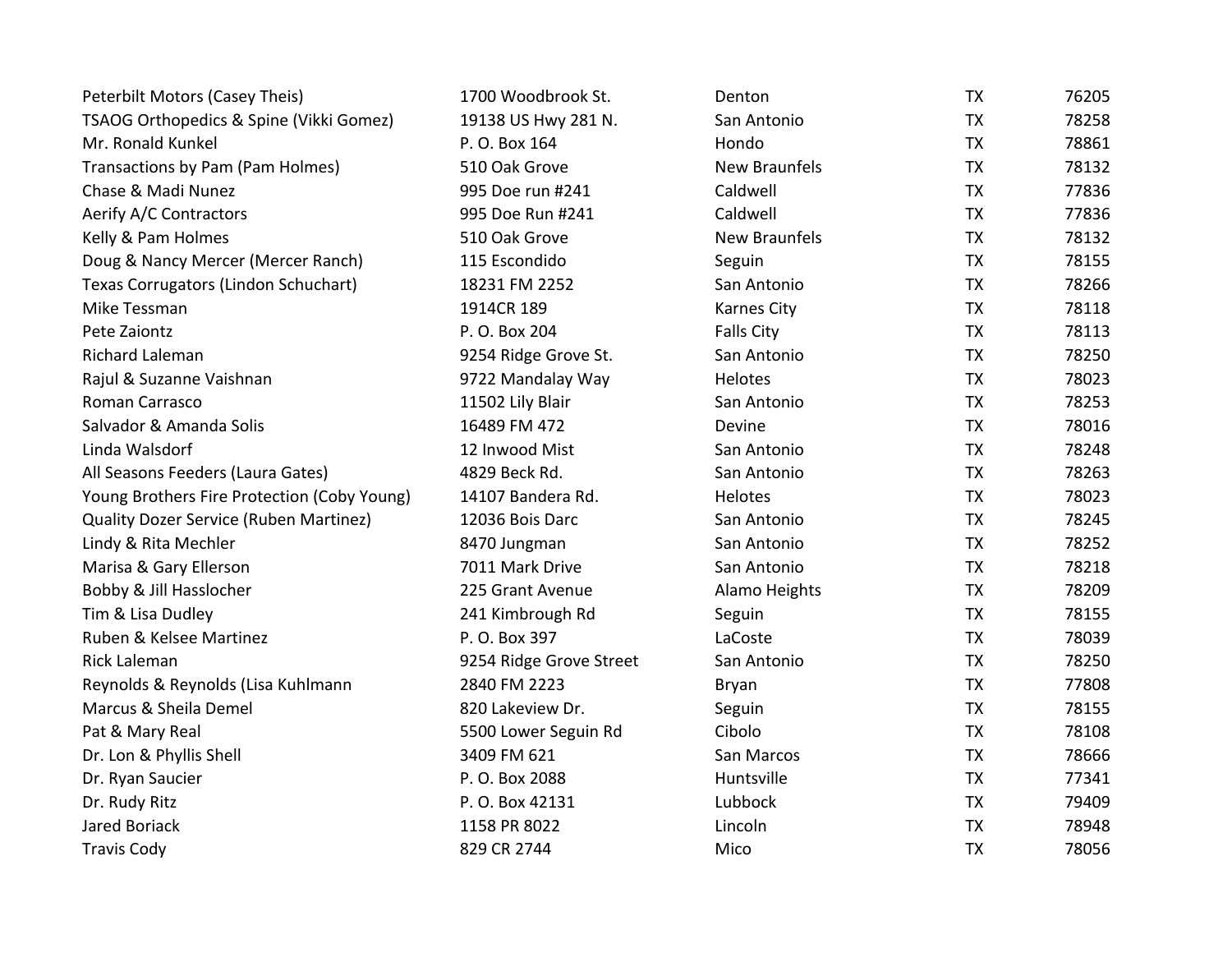| Peterbilt Motors (Casey Theis)                | 1700 Woodbrook St.      | Denton               | <b>TX</b> | 76205 |
|-----------------------------------------------|-------------------------|----------------------|-----------|-------|
| TSAOG Orthopedics & Spine (Vikki Gomez)       | 19138 US Hwy 281 N.     | San Antonio          | <b>TX</b> | 78258 |
| Mr. Ronald Kunkel                             | P.O. Box 164            | Hondo                | <b>TX</b> | 78861 |
| Transactions by Pam (Pam Holmes)              | 510 Oak Grove           | <b>New Braunfels</b> | <b>TX</b> | 78132 |
| Chase & Madi Nunez                            | 995 Doe run #241        | Caldwell             | <b>TX</b> | 77836 |
| Aerify A/C Contractors                        | 995 Doe Run #241        | Caldwell             | <b>TX</b> | 77836 |
| Kelly & Pam Holmes                            | 510 Oak Grove           | <b>New Braunfels</b> | <b>TX</b> | 78132 |
| Doug & Nancy Mercer (Mercer Ranch)            | 115 Escondido           | Seguin               | <b>TX</b> | 78155 |
| Texas Corrugators (Lindon Schuchart)          | 18231 FM 2252           | San Antonio          | <b>TX</b> | 78266 |
| Mike Tessman                                  | 1914CR 189              | <b>Karnes City</b>   | <b>TX</b> | 78118 |
| Pete Zaiontz                                  | P. O. Box 204           | <b>Falls City</b>    | <b>TX</b> | 78113 |
| Richard Laleman                               | 9254 Ridge Grove St.    | San Antonio          | <b>TX</b> | 78250 |
| Rajul & Suzanne Vaishnan                      | 9722 Mandalay Way       | Helotes              | <b>TX</b> | 78023 |
| Roman Carrasco                                | 11502 Lily Blair        | San Antonio          | <b>TX</b> | 78253 |
| Salvador & Amanda Solis                       | 16489 FM 472            | Devine               | <b>TX</b> | 78016 |
| Linda Walsdorf                                | 12 Inwood Mist          | San Antonio          | <b>TX</b> | 78248 |
| All Seasons Feeders (Laura Gates)             | 4829 Beck Rd.           | San Antonio          | <b>TX</b> | 78263 |
| Young Brothers Fire Protection (Coby Young)   | 14107 Bandera Rd.       | Helotes              | <b>TX</b> | 78023 |
| <b>Quality Dozer Service (Ruben Martinez)</b> | 12036 Bois Darc         | San Antonio          | <b>TX</b> | 78245 |
| Lindy & Rita Mechler                          | 8470 Jungman            | San Antonio          | <b>TX</b> | 78252 |
| Marisa & Gary Ellerson                        | 7011 Mark Drive         | San Antonio          | <b>TX</b> | 78218 |
| Bobby & Jill Hasslocher                       | 225 Grant Avenue        | Alamo Heights        | <b>TX</b> | 78209 |
| Tim & Lisa Dudley                             | 241 Kimbrough Rd        | Seguin               | <b>TX</b> | 78155 |
| Ruben & Kelsee Martinez                       | P. O. Box 397           | LaCoste              | <b>TX</b> | 78039 |
| Rick Laleman                                  | 9254 Ridge Grove Street | San Antonio          | <b>TX</b> | 78250 |
| Reynolds & Reynolds (Lisa Kuhlmann            | 2840 FM 2223            | Bryan                | <b>TX</b> | 77808 |
| Marcus & Sheila Demel                         | 820 Lakeview Dr.        | Seguin               | <b>TX</b> | 78155 |
| Pat & Mary Real                               | 5500 Lower Seguin Rd    | Cibolo               | <b>TX</b> | 78108 |
| Dr. Lon & Phyllis Shell                       | 3409 FM 621             | San Marcos           | <b>TX</b> | 78666 |
| Dr. Ryan Saucier                              | P.O. Box 2088           | Huntsville           | <b>TX</b> | 77341 |
| Dr. Rudy Ritz                                 | P.O. Box 42131          | Lubbock              | <b>TX</b> | 79409 |
| Jared Boriack                                 | 1158 PR 8022            | Lincoln              | <b>TX</b> | 78948 |
| <b>Travis Cody</b>                            | 829 CR 2744             | Mico                 | <b>TX</b> | 78056 |